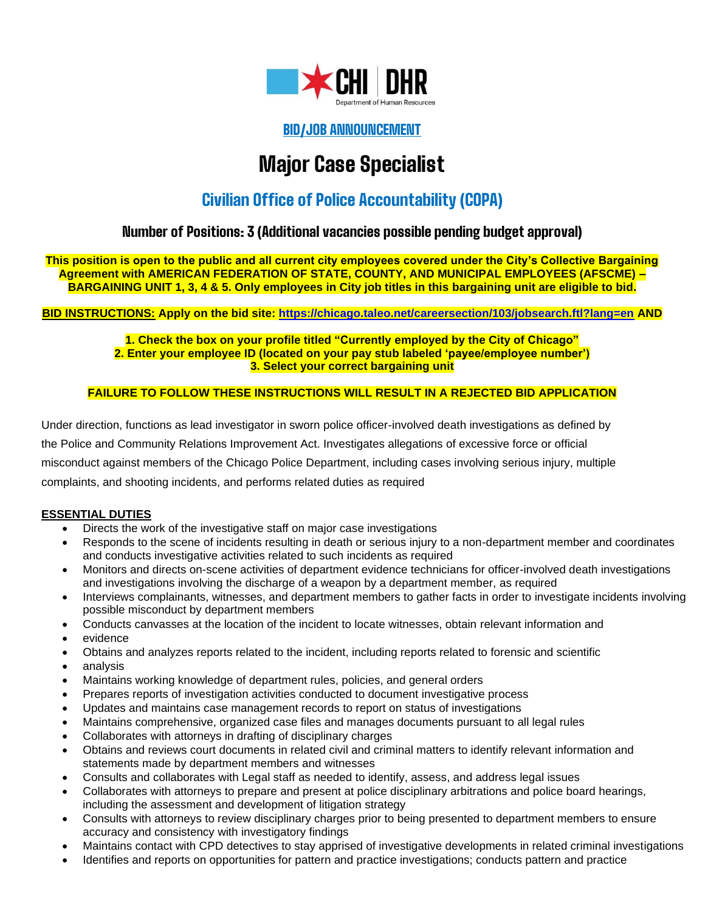

# BID/JOB ANNOUNCEMENT

# Major Case Specialist

# Civilian Office of Police Accountability (COPA)

# Number of Positions: 3 (Additional vacancies possible pending budget approval)

**This position is open to the public and all current city employees covered under the City's Collective Bargaining Agreement with AMERICAN FEDERATION OF STATE, COUNTY, AND MUNICIPAL EMPLOYEES (AFSCME) – BARGAINING UNIT 1, 3, 4 & 5. Only employees in City job titles in this bargaining unit are eligible to bid.**

**BID INSTRUCTIONS: Apply on the bid site: <https://chicago.taleo.net/careersection/103/jobsearch.ftl?lang=en> AND**

**1. Check the box on your profile titled "Currently employed by the City of Chicago" 2. Enter your employee ID (located on your pay stub labeled 'payee/employee number') 3. Select your correct bargaining unit**

#### **FAILURE TO FOLLOW THESE INSTRUCTIONS WILL RESULT IN A REJECTED BID APPLICATION**

Under direction, functions as lead investigator in sworn police officer-involved death investigations as defined by the Police and Community Relations Improvement Act. Investigates allegations of excessive force or official misconduct against members of the Chicago Police Department, including cases involving serious injury, multiple complaints, and shooting incidents, and performs related duties as required

#### **ESSENTIAL DUTIES**

- Directs the work of the investigative staff on major case investigations
- Responds to the scene of incidents resulting in death or serious injury to a non-department member and coordinates and conducts investigative activities related to such incidents as required
- Monitors and directs on-scene activities of department evidence technicians for officer-involved death investigations and investigations involving the discharge of a weapon by a department member, as required
- Interviews complainants, witnesses, and department members to gather facts in order to investigate incidents involving possible misconduct by department members
- Conducts canvasses at the location of the incident to locate witnesses, obtain relevant information and
- evidence
- Obtains and analyzes reports related to the incident, including reports related to forensic and scientific
- analysis
- Maintains working knowledge of department rules, policies, and general orders
- Prepares reports of investigation activities conducted to document investigative process
- Updates and maintains case management records to report on status of investigations
- Maintains comprehensive, organized case files and manages documents pursuant to all legal rules
- Collaborates with attorneys in drafting of disciplinary charges
- Obtains and reviews court documents in related civil and criminal matters to identify relevant information and statements made by department members and witnesses
- Consults and collaborates with Legal staff as needed to identify, assess, and address legal issues
- Collaborates with attorneys to prepare and present at police disciplinary arbitrations and police board hearings, including the assessment and development of litigation strategy
- Consults with attorneys to review disciplinary charges prior to being presented to department members to ensure accuracy and consistency with investigatory findings
- Maintains contact with CPD detectives to stay apprised of investigative developments in related criminal investigations
- Identifies and reports on opportunities for pattern and practice investigations; conducts pattern and practice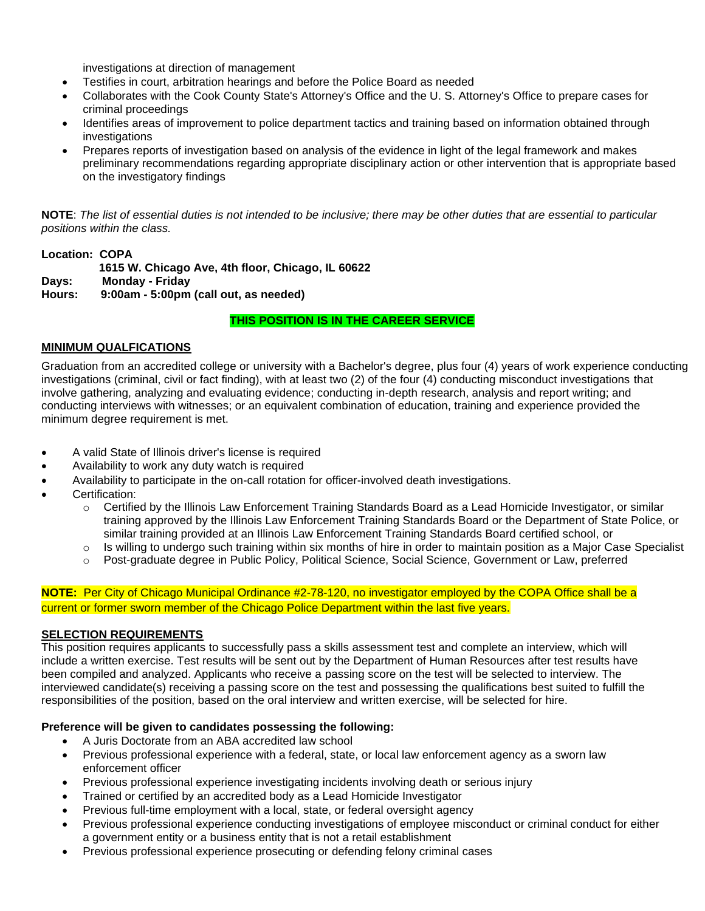investigations at direction of management

- Testifies in court, arbitration hearings and before the Police Board as needed
- Collaborates with the Cook County State's Attorney's Office and the U. S. Attorney's Office to prepare cases for criminal proceedings
- Identifies areas of improvement to police department tactics and training based on information obtained through investigations
- Prepares reports of investigation based on analysis of the evidence in light of the legal framework and makes preliminary recommendations regarding appropriate disciplinary action or other intervention that is appropriate based on the investigatory findings

**NOTE**: *The list of essential duties is not intended to be inclusive; there may be other duties that are essential to particular positions within the class.*

## **Location: COPA 1615 W. Chicago Ave, 4th floor, Chicago, IL 60622 Days: Monday - Friday**

**Hours: 9:00am - 5:00pm (call out, as needed)**

#### **THIS POSITION IS IN THE CAREER SERVICE**

#### **MINIMUM QUALFICATIONS**

Graduation from an accredited college or university with a Bachelor's degree, plus four (4) years of work experience conducting investigations (criminal, civil or fact finding), with at least two (2) of the four (4) conducting misconduct investigations that involve gathering, analyzing and evaluating evidence; conducting in-depth research, analysis and report writing; and conducting interviews with witnesses; or an equivalent combination of education, training and experience provided the minimum degree requirement is met.

- A valid State of Illinois driver's license is required
- Availability to work any duty watch is required
- Availability to participate in the on-call rotation for officer-involved death investigations.
- Certification:
	- $\circ$  Certified by the Illinois Law Enforcement Training Standards Board as a Lead Homicide Investigator, or similar training approved by the Illinois Law Enforcement Training Standards Board or the Department of State Police, or similar training provided at an Illinois Law Enforcement Training Standards Board certified school, or
	- $\circ$  Is willing to undergo such training within six months of hire in order to maintain position as a Major Case Specialist
	- o Post-graduate degree in Public Policy, Political Science, Social Science, Government or Law, preferred

#### **NOTE:** Per City of Chicago Municipal Ordinance #2-78-120, no investigator employed by the COPA Office shall be a current or former sworn member of the Chicago Police Department within the last five years.

#### **SELECTION REQUIREMENTS**

This position requires applicants to successfully pass a skills assessment test and complete an interview, which will include a written exercise. Test results will be sent out by the Department of Human Resources after test results have been compiled and analyzed. Applicants who receive a passing score on the test will be selected to interview. The interviewed candidate(s) receiving a passing score on the test and possessing the qualifications best suited to fulfill the responsibilities of the position, based on the oral interview and written exercise, will be selected for hire.

## **Preference will be given to candidates possessing the following:**

- A Juris Doctorate from an ABA accredited law school
- Previous professional experience with a federal, state, or local law enforcement agency as a sworn law enforcement officer
- Previous professional experience investigating incidents involving death or serious injury
- Trained or certified by an accredited body as a Lead Homicide Investigator
- Previous full-time employment with a local, state, or federal oversight agency
- Previous professional experience conducting investigations of employee misconduct or criminal conduct for either a government entity or a business entity that is not a retail establishment
- Previous professional experience prosecuting or defending felony criminal cases